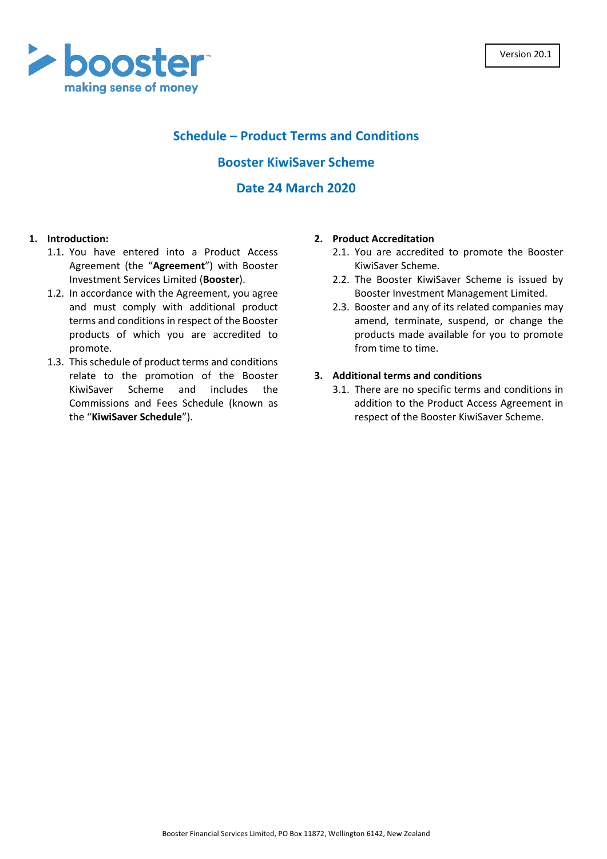

# **Schedule – Product Terms and Conditions**

### **Booster KiwiSaver Scheme**

## **Date 24 March 2020**

### **1. Introduction:**

- 1.1. You have entered into a Product Access Agreement (the "**Agreement**") with Booster Investment Services Limited (**Booster**).
- 1.2. In accordance with the Agreement, you agree and must comply with additional product terms and conditions in respect of the Booster products of which you are accredited to promote.
- 1.3. This schedule of product terms and conditions relate to the promotion of the Booster KiwiSaver Scheme and includes the Commissions and Fees Schedule (known as the "**KiwiSaver Schedule**").

#### **2. Product Accreditation**

- 2.1. You are accredited to promote the Booster KiwiSaver Scheme.
- 2.2. The Booster KiwiSaver Scheme is issued by Booster Investment Management Limited.
- 2.3. Booster and any of its related companies may amend, terminate, suspend, or change the products made available for you to promote from time to time.

#### **3. Additional terms and conditions**

3.1. There are no specific terms and conditions in addition to the Product Access Agreement in respect of the Booster KiwiSaver Scheme.